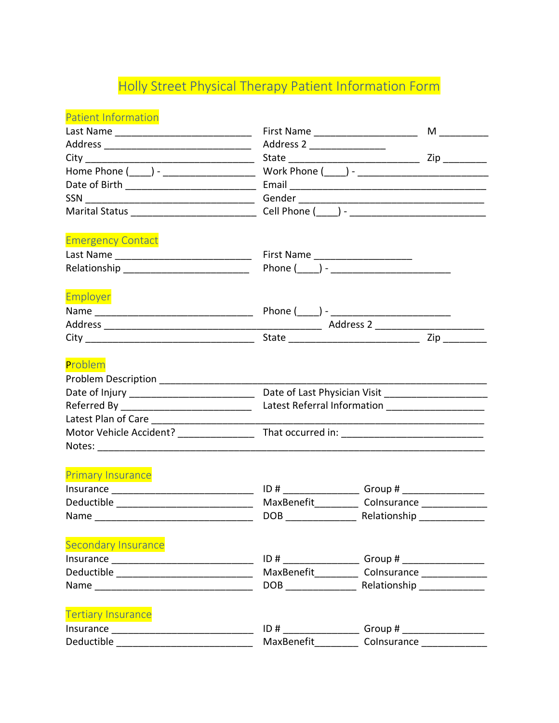## Holly Street Physical Therapy Patient Information Form

| <b>Patient Information</b>                 |                                                      |                                                             |
|--------------------------------------------|------------------------------------------------------|-------------------------------------------------------------|
|                                            |                                                      | First Name ______________________                           |
|                                            |                                                      |                                                             |
|                                            |                                                      |                                                             |
|                                            |                                                      |                                                             |
|                                            |                                                      |                                                             |
|                                            |                                                      |                                                             |
|                                            |                                                      |                                                             |
| <b>Emergency Contact</b>                   |                                                      |                                                             |
|                                            |                                                      |                                                             |
|                                            |                                                      |                                                             |
| Employer                                   |                                                      |                                                             |
|                                            |                                                      |                                                             |
|                                            |                                                      |                                                             |
|                                            |                                                      |                                                             |
| Problem                                    |                                                      |                                                             |
|                                            |                                                      |                                                             |
|                                            | Date of Last Physician Visit _______________________ |                                                             |
|                                            | Latest Referral Information ______________________   |                                                             |
|                                            |                                                      | <u> 1989 - Johann Stoff, Amerikaansk politiker (* 1908)</u> |
|                                            |                                                      |                                                             |
|                                            |                                                      |                                                             |
| <b>Primary Insurance</b>                   |                                                      |                                                             |
|                                            |                                                      |                                                             |
|                                            |                                                      |                                                             |
|                                            |                                                      |                                                             |
| <b>Secondary Insurance</b>                 |                                                      |                                                             |
|                                            |                                                      | ID # ______________________Group # _____________________    |
|                                            |                                                      | MaxBenefit____________ Colnsurance _______________          |
|                                            |                                                      |                                                             |
| <b>Tertiary Insurance</b>                  |                                                      |                                                             |
|                                            | ID#                                                  | Group # __________________                                  |
| Deductible _______________________________ | MaxBenefit_________                                  | Colnsurance _____________                                   |